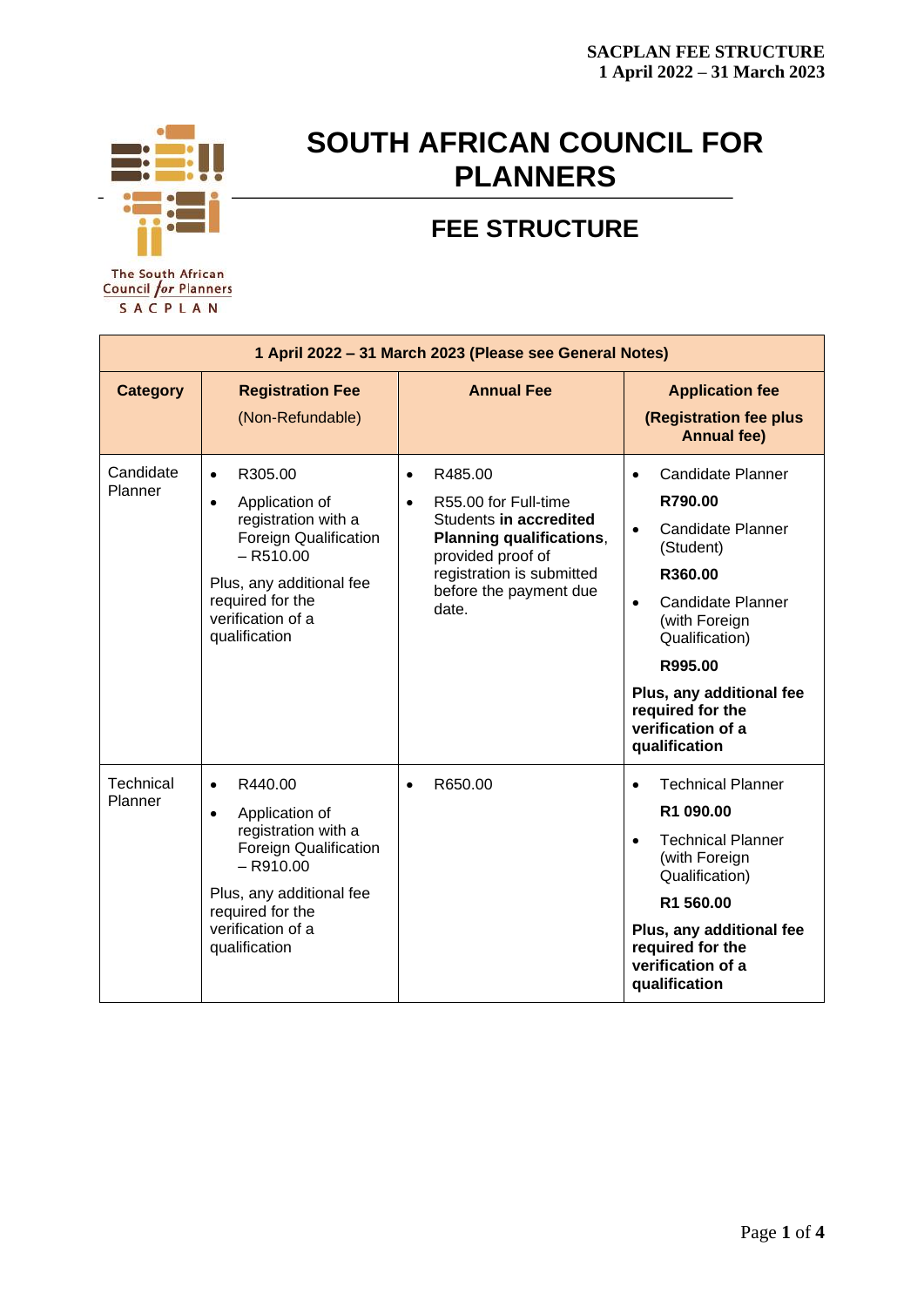

# **SOUTH AFRICAN COUNCIL FOR PLANNERS**

# **FEE STRUCTURE**

**The South African Council for Planners** SACPLAN

| 1 April 2022 - 31 March 2023 (Please see General Notes) |                                                                                                                                                                                                                 |                                                                                                                                                                                                             |                                                                                                                                                                                                                                                                                  |
|---------------------------------------------------------|-----------------------------------------------------------------------------------------------------------------------------------------------------------------------------------------------------------------|-------------------------------------------------------------------------------------------------------------------------------------------------------------------------------------------------------------|----------------------------------------------------------------------------------------------------------------------------------------------------------------------------------------------------------------------------------------------------------------------------------|
| <b>Category</b>                                         | <b>Registration Fee</b><br>(Non-Refundable)                                                                                                                                                                     | <b>Annual Fee</b>                                                                                                                                                                                           | <b>Application fee</b><br>(Registration fee plus<br><b>Annual fee)</b>                                                                                                                                                                                                           |
| Candidate<br>Planner                                    | R305.00<br>$\bullet$<br>Application of<br>$\bullet$<br>registration with a<br>Foreign Qualification<br>$-$ R510.00<br>Plus, any additional fee<br>required for the<br>verification of a<br>qualification        | R485.00<br>$\bullet$<br>R55.00 for Full-time<br>$\bullet$<br>Students in accredited<br><b>Planning qualifications,</b><br>provided proof of<br>registration is submitted<br>before the payment due<br>date. | Candidate Planner<br>$\bullet$<br>R790.00<br>Candidate Planner<br>$\bullet$<br>(Student)<br>R360.00<br><b>Candidate Planner</b><br>$\bullet$<br>(with Foreign<br>Qualification)<br>R995.00<br>Plus, any additional fee<br>required for the<br>verification of a<br>qualification |
| Technical<br>Planner                                    | R440.00<br>$\bullet$<br>Application of<br>$\bullet$<br>registration with a<br><b>Foreign Qualification</b><br>$-$ R910.00<br>Plus, any additional fee<br>required for the<br>verification of a<br>qualification | R650.00<br>$\bullet$                                                                                                                                                                                        | <b>Technical Planner</b><br>$\bullet$<br>R1 090.00<br><b>Technical Planner</b><br>$\bullet$<br>(with Foreign<br>Qualification)<br>R1 560.00<br>Plus, any additional fee<br>required for the<br>verification of a<br>qualification                                                |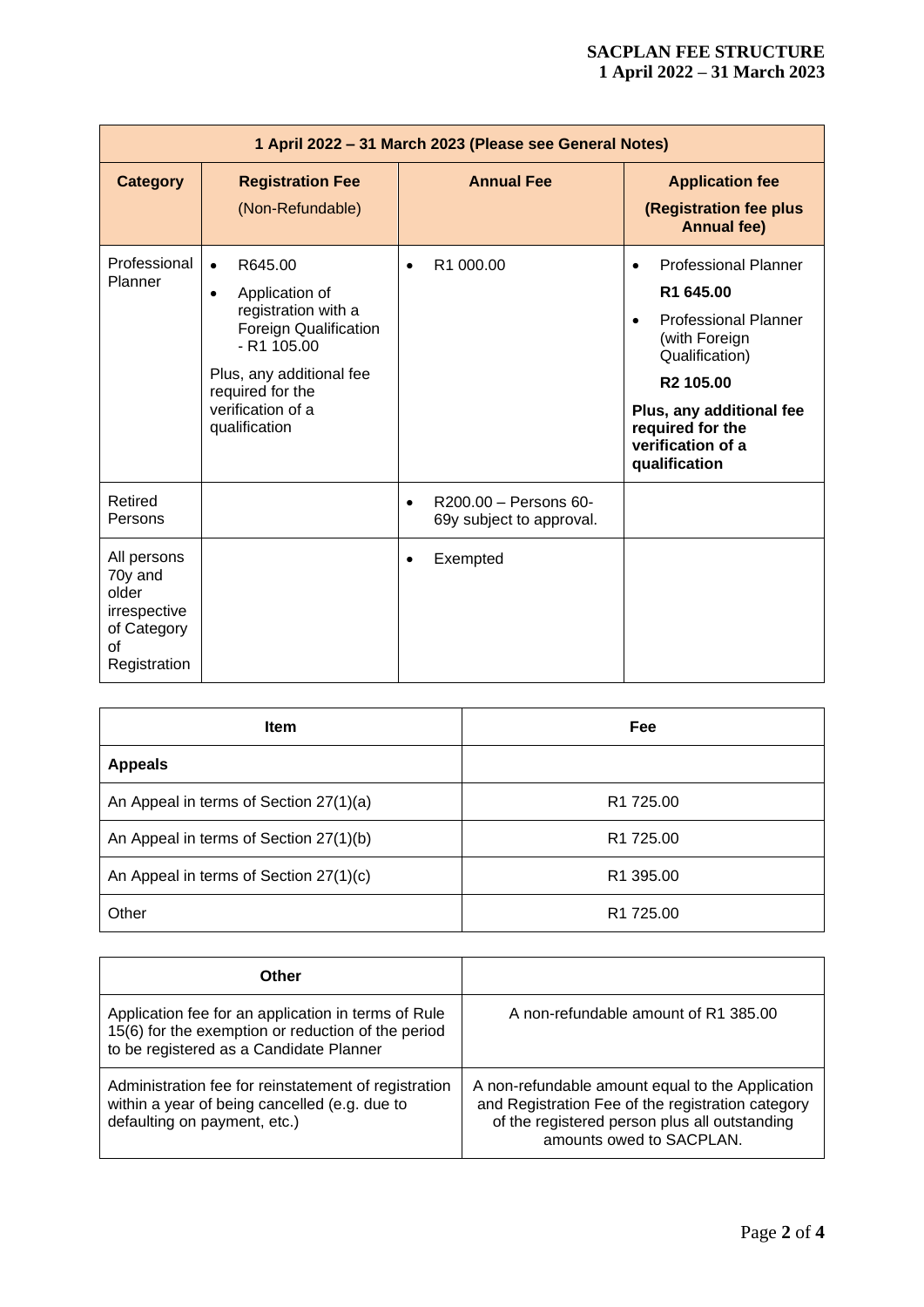## **SACPLAN FEE STRUCTURE 1 April 2022 – 31 March 2023**

| 1 April 2022 - 31 March 2023 (Please see General Notes)                              |                                                                                                                                                                                                            |                                                                |                                                                                                                                                                                                                                                     |
|--------------------------------------------------------------------------------------|------------------------------------------------------------------------------------------------------------------------------------------------------------------------------------------------------------|----------------------------------------------------------------|-----------------------------------------------------------------------------------------------------------------------------------------------------------------------------------------------------------------------------------------------------|
| <b>Category</b>                                                                      | <b>Registration Fee</b><br>(Non-Refundable)                                                                                                                                                                | <b>Annual Fee</b>                                              | <b>Application fee</b><br>(Registration fee plus<br><b>Annual fee)</b>                                                                                                                                                                              |
| Professional<br>Planner                                                              | R645.00<br>$\bullet$<br>Application of<br>$\bullet$<br>registration with a<br>Foreign Qualification<br>$- R1 105.00$<br>Plus, any additional fee<br>required for the<br>verification of a<br>qualification | R1 000.00<br>$\bullet$                                         | <b>Professional Planner</b><br>$\bullet$<br>R1 645.00<br><b>Professional Planner</b><br>$\bullet$<br>(with Foreign<br>Qualification)<br>R <sub>2</sub> 105.00<br>Plus, any additional fee<br>required for the<br>verification of a<br>qualification |
| Retired<br>Persons                                                                   |                                                                                                                                                                                                            | R200.00 - Persons 60-<br>$\bullet$<br>69y subject to approval. |                                                                                                                                                                                                                                                     |
| All persons<br>70y and<br>older<br>irrespective<br>of Category<br>οf<br>Registration |                                                                                                                                                                                                            | Exempted<br>٠                                                  |                                                                                                                                                                                                                                                     |

| <b>Item</b>                            | Fee                   |
|----------------------------------------|-----------------------|
| <b>Appeals</b>                         |                       |
| An Appeal in terms of Section 27(1)(a) | R <sub>1</sub> 725.00 |
| An Appeal in terms of Section 27(1)(b) | R <sub>1</sub> 725.00 |
| An Appeal in terms of Section 27(1)(c) | R <sub>1</sub> 395.00 |
| Other                                  | R <sub>1</sub> 725.00 |

| Other                                                                                                                                                |                                                                                                                                                                                    |
|------------------------------------------------------------------------------------------------------------------------------------------------------|------------------------------------------------------------------------------------------------------------------------------------------------------------------------------------|
| Application fee for an application in terms of Rule<br>15(6) for the exemption or reduction of the period<br>to be registered as a Candidate Planner | A non-refundable amount of R1 385.00                                                                                                                                               |
| Administration fee for reinstatement of registration<br>within a year of being cancelled (e.g. due to<br>defaulting on payment, etc.)                | A non-refundable amount equal to the Application<br>and Registration Fee of the registration category<br>of the registered person plus all outstanding<br>amounts owed to SACPLAN. |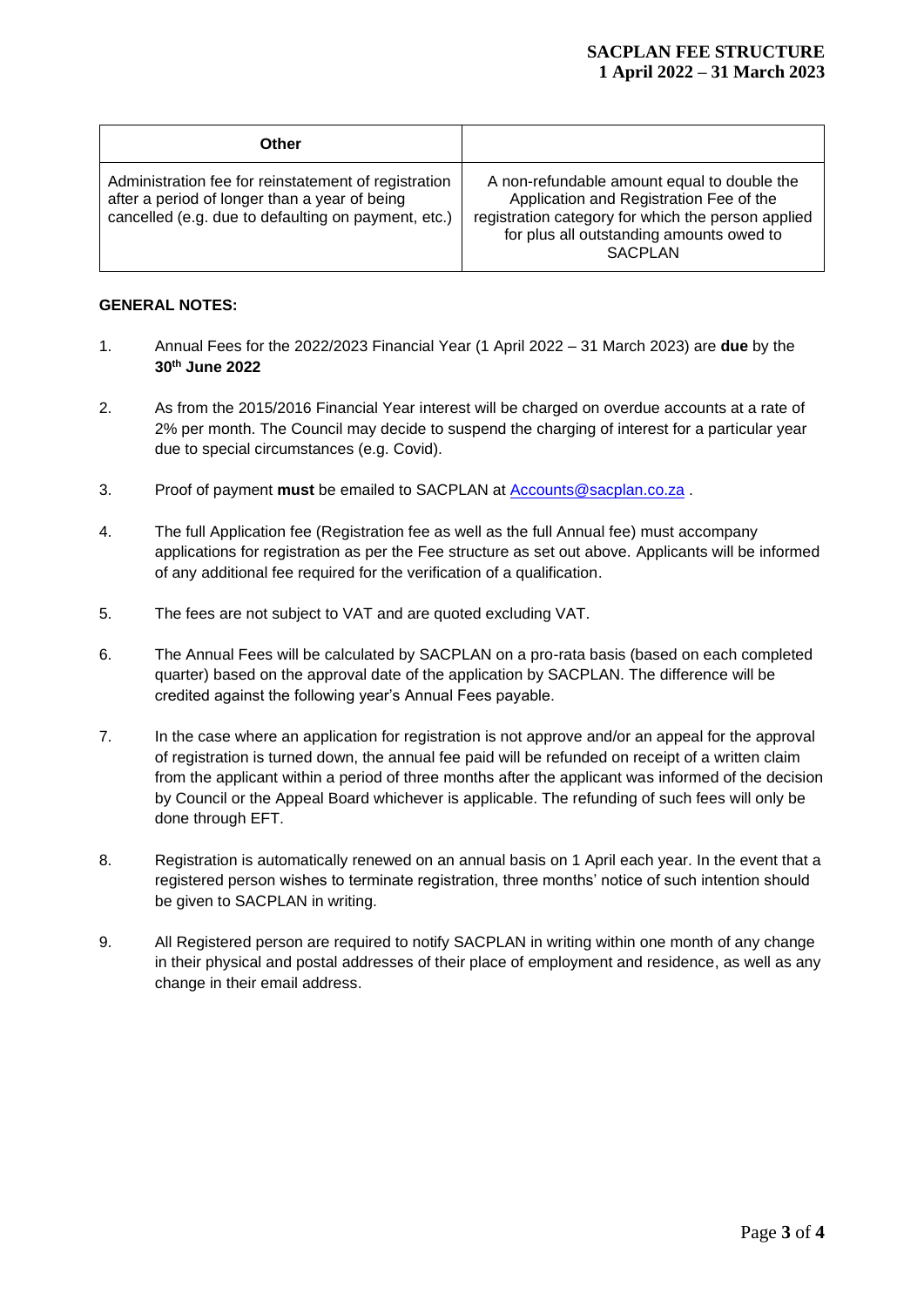#### **SACPLAN FEE STRUCTURE 1 April 2022 – 31 March 2023**

| Other                                                                                                                                                        |                                                                                                                                                                                                            |
|--------------------------------------------------------------------------------------------------------------------------------------------------------------|------------------------------------------------------------------------------------------------------------------------------------------------------------------------------------------------------------|
| Administration fee for reinstatement of registration<br>after a period of longer than a year of being<br>cancelled (e.g. due to defaulting on payment, etc.) | A non-refundable amount equal to double the<br>Application and Registration Fee of the<br>registration category for which the person applied<br>for plus all outstanding amounts owed to<br><b>SACPLAN</b> |

#### **GENERAL NOTES:**

- 1. Annual Fees for the 2022/2023 Financial Year (1 April 2022 31 March 2023) are **due** by the **30th June 2022**
- 2. As from the 2015/2016 Financial Year interest will be charged on overdue accounts at a rate of 2% per month. The Council may decide to suspend the charging of interest for a particular year due to special circumstances (e.g. Covid).
- 3. Proof of payment **must** be emailed to SACPLAN at [Accounts@sacplan.co.za](mailto:Accounts@sacplan.co.za) .
- 4. The full Application fee (Registration fee as well as the full Annual fee) must accompany applications for registration as per the Fee structure as set out above. Applicants will be informed of any additional fee required for the verification of a qualification.
- 5. The fees are not subject to VAT and are quoted excluding VAT.
- 6. The Annual Fees will be calculated by SACPLAN on a pro-rata basis (based on each completed quarter) based on the approval date of the application by SACPLAN. The difference will be credited against the following year's Annual Fees payable.
- 7. In the case where an application for registration is not approve and/or an appeal for the approval of registration is turned down, the annual fee paid will be refunded on receipt of a written claim from the applicant within a period of three months after the applicant was informed of the decision by Council or the Appeal Board whichever is applicable. The refunding of such fees will only be done through EFT.
- 8. Registration is automatically renewed on an annual basis on 1 April each year. In the event that a registered person wishes to terminate registration, three months' notice of such intention should be given to SACPLAN in writing.
- 9. All Registered person are required to notify SACPLAN in writing within one month of any change in their physical and postal addresses of their place of employment and residence, as well as any change in their email address.